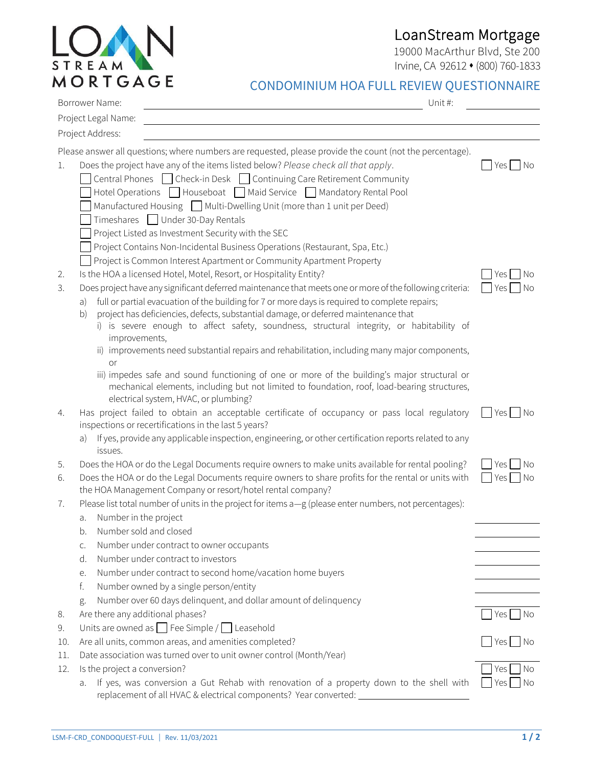## LoanStream Mortgage

19000 MacArthur Blvd, Ste 200 Irvine, CA 92612 ⬧ (800) 760-1833

|     | <b>MORTGAGE</b><br>CONDOMINIUM HOA FULL REVIEW QUESTIONNAIRE<br>Borrower Name:<br>Unit#:                                                                                                                                                                                                                                                                                                                                                                                                                                                                                                                   |                                    |
|-----|------------------------------------------------------------------------------------------------------------------------------------------------------------------------------------------------------------------------------------------------------------------------------------------------------------------------------------------------------------------------------------------------------------------------------------------------------------------------------------------------------------------------------------------------------------------------------------------------------------|------------------------------------|
|     | Project Legal Name:                                                                                                                                                                                                                                                                                                                                                                                                                                                                                                                                                                                        |                                    |
|     | Project Address:                                                                                                                                                                                                                                                                                                                                                                                                                                                                                                                                                                                           |                                    |
|     |                                                                                                                                                                                                                                                                                                                                                                                                                                                                                                                                                                                                            |                                    |
| 1.  | Please answer all questions; where numbers are requested, please provide the count (not the percentage).<br>Does the project have any of the items listed below? Please check all that apply.<br>Central Phones Check-in Desk Continuing Care Retirement Community<br>Hotel Operations $\Box$ Houseboat $\Box$ Maid Service $\Box$ Mandatory Rental Pool<br>Manufactured Housing Multi-Dwelling Unit (more than 1 unit per Deed)<br>Timeshares □ Under 30-Day Rentals<br>Project Listed as Investment Security with the SEC<br>Project Contains Non-Incidental Business Operations (Restaurant, Spa, Etc.) | Yes  <br>  No                      |
|     | Project is Common Interest Apartment or Community Apartment Property                                                                                                                                                                                                                                                                                                                                                                                                                                                                                                                                       |                                    |
| 2.  | Is the HOA a licensed Hotel, Motel, Resort, or Hospitality Entity?                                                                                                                                                                                                                                                                                                                                                                                                                                                                                                                                         | Yes  <br>No                        |
| 3.  | Does project have any significant deferred maintenance that meets one or more of the following criteria:<br>full or partial evacuation of the building for 7 or more days is required to complete repairs;<br>a)<br>project has deficiencies, defects, substantial damage, or deferred maintenance that<br>b)<br>i) is severe enough to affect safety, soundness, structural integrity, or habitability of<br>improvements,<br>ii) improvements need substantial repairs and rehabilitation, including many major components,                                                                              | No<br>Yes                          |
|     | or                                                                                                                                                                                                                                                                                                                                                                                                                                                                                                                                                                                                         |                                    |
|     | iii) impedes safe and sound functioning of one or more of the building's major structural or<br>mechanical elements, including but not limited to foundation, roof, load-bearing structures,<br>electrical system, HVAC, or plumbing?                                                                                                                                                                                                                                                                                                                                                                      |                                    |
| 4.  | Has project failed to obtain an acceptable certificate of occupancy or pass local regulatory<br>inspections or recertifications in the last 5 years?                                                                                                                                                                                                                                                                                                                                                                                                                                                       | Yes<br>$\overline{\phantom{a}}$ No |
|     | a) If yes, provide any applicable inspection, engineering, or other certification reports related to any<br>issues.                                                                                                                                                                                                                                                                                                                                                                                                                                                                                        |                                    |
| 5.  | Does the HOA or do the Legal Documents require owners to make units available for rental pooling?                                                                                                                                                                                                                                                                                                                                                                                                                                                                                                          | No<br>Yes                          |
| 6.  | Does the HOA or do the Legal Documents require owners to share profits for the rental or units with<br>the HOA Management Company or resort/hotel rental company?                                                                                                                                                                                                                                                                                                                                                                                                                                          | Yes<br>No                          |
| 7.  | Please list total number of units in the project for items a-g (please enter numbers, not percentages):                                                                                                                                                                                                                                                                                                                                                                                                                                                                                                    |                                    |
|     | Number in the project<br>a.                                                                                                                                                                                                                                                                                                                                                                                                                                                                                                                                                                                |                                    |
|     | Number sold and closed<br>b.                                                                                                                                                                                                                                                                                                                                                                                                                                                                                                                                                                               |                                    |
|     | Number under contract to owner occupants<br>C.                                                                                                                                                                                                                                                                                                                                                                                                                                                                                                                                                             |                                    |
|     | Number under contract to investors<br>d.                                                                                                                                                                                                                                                                                                                                                                                                                                                                                                                                                                   |                                    |
|     | Number under contract to second home/vacation home buyers<br>е.                                                                                                                                                                                                                                                                                                                                                                                                                                                                                                                                            |                                    |
|     | f.<br>Number owned by a single person/entity                                                                                                                                                                                                                                                                                                                                                                                                                                                                                                                                                               |                                    |
|     | Number over 60 days delinquent, and dollar amount of delinquency<br>g.                                                                                                                                                                                                                                                                                                                                                                                                                                                                                                                                     |                                    |
| 8.  | Are there any additional phases?                                                                                                                                                                                                                                                                                                                                                                                                                                                                                                                                                                           | Yes   No                           |
| 9.  | Units are owned as $\Box$ Fee Simple / $\Box$ Leasehold                                                                                                                                                                                                                                                                                                                                                                                                                                                                                                                                                    |                                    |
| 10. | Are all units, common areas, and amenities completed?                                                                                                                                                                                                                                                                                                                                                                                                                                                                                                                                                      | Yes  <br>No                        |

- 11. Date association was turned over to unit owner control (Month/Year)
- 12. Is the project a conversion?  $\Box$  Yes  $\Box$  No

STREAM

a. If yes, was conversion a Gut Rehab with renovation of a property down to the shell with replacement of all HVAC & electrical components? Year converted:

 $\Box$  Yes  $\Box$  No